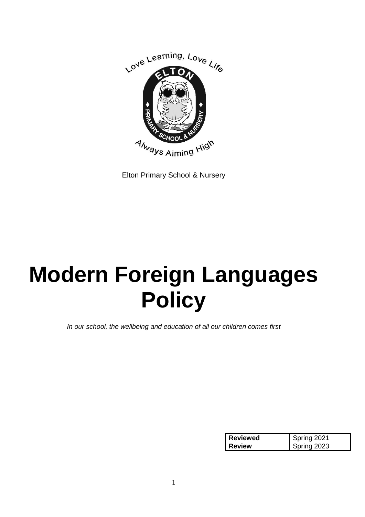

Elton Primary School & Nursery

# **Modern Foreign Languages Policy**

*In our school, the wellbeing and education of all our children comes first*

| <b>Reviewed</b> | Spring 2021 |
|-----------------|-------------|
| Review          | Spring 2023 |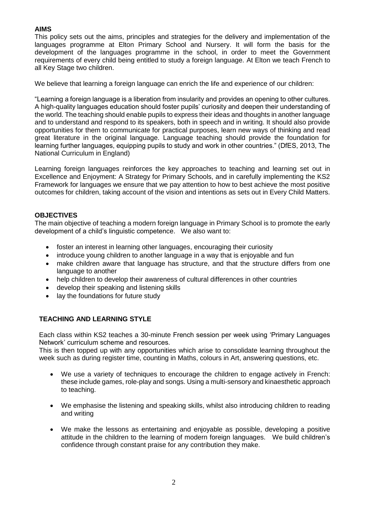# **AIMS**

This policy sets out the aims, principles and strategies for the delivery and implementation of the languages programme at Elton Primary School and Nursery. It will form the basis for the development of the languages programme in the school, in order to meet the Government requirements of every child being entitled to study a foreign language. At Elton we teach French to all Key Stage two children.

We believe that learning a foreign language can enrich the life and experience of our children:

"Learning a foreign language is a liberation from insularity and provides an opening to other cultures. A high-quality languages education should foster pupils' curiosity and deepen their understanding of the world. The teaching should enable pupils to express their ideas and thoughts in another language and to understand and respond to its speakers, both in speech and in writing. It should also provide opportunities for them to communicate for practical purposes, learn new ways of thinking and read great literature in the original language. Language teaching should provide the foundation for learning further languages, equipping pupils to study and work in other countries." (DfES, 2013, The National Curriculum in England)

Learning foreign languages reinforces the key approaches to teaching and learning set out in Excellence and Enjoyment: A Strategy for Primary Schools, and in carefully implementing the KS2 Framework for languages we ensure that we pay attention to how to best achieve the most positive outcomes for children, taking account of the vision and intentions as sets out in Every Child Matters.

## **OBJECTIVES**

The main objective of teaching a modern foreign language in Primary School is to promote the early development of a child's linguistic competence. We also want to:

- foster an interest in learning other languages, encouraging their curiosity
- introduce young children to another language in a way that is enjoyable and fun
- make children aware that language has structure, and that the structure differs from one language to another
- help children to develop their awareness of cultural differences in other countries
- develop their speaking and listening skills
- lay the foundations for future study

# **TEACHING AND LEARNING STYLE**

Each class within KS2 teaches a 30-minute French session per week using 'Primary Languages Network' curriculum scheme and resources.

This is then topped up with any opportunities which arise to consolidate learning throughout the week such as during register time, counting in Maths, colours in Art, answering questions, etc.

- We use a variety of techniques to encourage the children to engage actively in French: these include games, role-play and songs. Using a multi-sensory and kinaesthetic approach to teaching.
- We emphasise the listening and speaking skills, whilst also introducing children to reading and writing
- We make the lessons as entertaining and enjoyable as possible, developing a positive attitude in the children to the learning of modern foreign languages. We build children's confidence through constant praise for any contribution they make.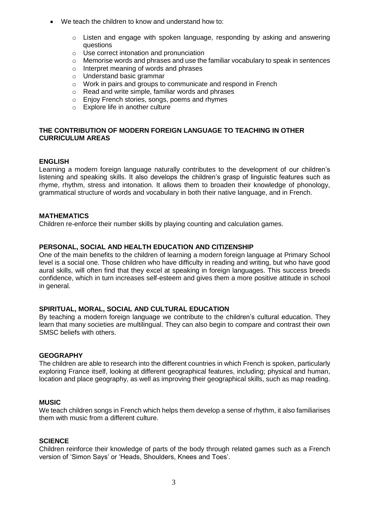- We teach the children to know and understand how to:
	- o Listen and engage with spoken language, responding by asking and answering questions
	- o Use correct intonation and pronunciation
	- $\circ$  Memorise words and phrases and use the familiar vocabulary to speak in sentences
	- o Interpret meaning of words and phrases
	- o Understand basic grammar
	- o Work in pairs and groups to communicate and respond in French
	- $\circ$  Read and write simple, familiar words and phrases
	- o Enjoy French stories, songs, poems and rhymes
	- $\circ$  Explore life in another culture

# **THE CONTRIBUTION OF MODERN FOREIGN LANGUAGE TO TEACHING IN OTHER CURRICULUM AREAS**

## **ENGLISH**

Learning a modern foreign language naturally contributes to the development of our children's listening and speaking skills. It also develops the children's grasp of linguistic features such as rhyme, rhythm, stress and intonation. It allows them to broaden their knowledge of phonology, grammatical structure of words and vocabulary in both their native language, and in French.

## **MATHEMATICS**

Children re-enforce their number skills by playing counting and calculation games.

# **PERSONAL, SOCIAL AND HEALTH EDUCATION AND CITIZENSHIP**

One of the main benefits to the children of learning a modern foreign language at Primary School level is a social one. Those children who have difficulty in reading and writing, but who have good aural skills, will often find that they excel at speaking in foreign languages. This success breeds confidence, which in turn increases self-esteem and gives them a more positive attitude in school in general.

## **SPIRITUAL, MORAL, SOCIAL AND CULTURAL EDUCATION**

By teaching a modern foreign language we contribute to the children's cultural education. They learn that many societies are multilingual. They can also begin to compare and contrast their own SMSC beliefs with others.

#### **GEOGRAPHY**

The children are able to research into the different countries in which French is spoken, particularly exploring France itself, looking at different geographical features, including; physical and human, location and place geography, as well as improving their geographical skills, such as map reading.

# **MUSIC**

We teach children songs in French which helps them develop a sense of rhythm, it also familiarises them with music from a different culture.

# **SCIENCE**

Children reinforce their knowledge of parts of the body through related games such as a French version of 'Simon Says' or 'Heads, Shoulders, Knees and Toes'.